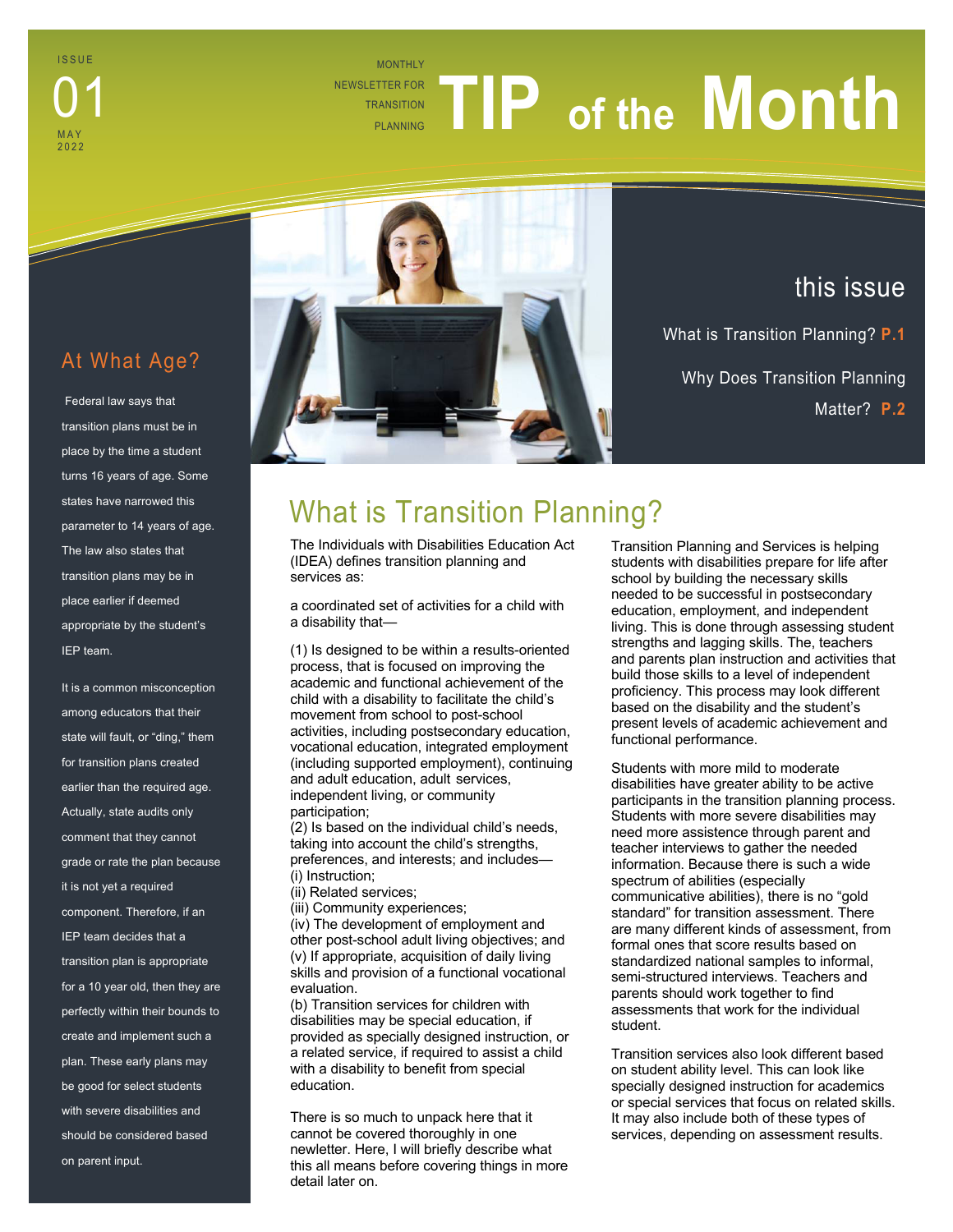MONTHLY NEWSLETTER FOR **TRANSITION THERFOR TIP** of the **Month** 

#### At What Age?

ISSUE

01

M A Y 2022

Federal law says that transition plans must be in place by the time a student turns 16 years of age. Some states have narrowed this parameter to 14 years of age. The law also states that transition plans may be in place earlier if deemed appropriate by the student's IEP team.

It is a common misconception among educators that their state will fault, or "ding," them for transition plans created earlier than the required age. Actually, state audits only comment that they cannot grade or rate the plan because it is not yet a required component. Therefore, if an IEP team decides that a transition plan is appropriate for a 10 year old, then they are perfectly within their bounds to create and implement such a plan. These early plans may be good for select students with severe disabilities and should be considered based on parent input.



### this issue

What is Transition Planning? **P.1** Why Does Transition Planning Matter? **P.2**

# What is Transition Planning?

The Individuals with Disabilities Education Act (IDEA) defines transition planning and services as:

a coordinated set of activities for a child with a disability that—

(1) Is designed to be within a results-oriented process, that is focused on improving the academic and functional achievement of the child with a disability to facilitate the child's movement from school to post-school activities, including postsecondary education, vocational education, integrated employment (including supported employment), continuing and adult education, adult services, independent living, or community participation;

(2) Is based on the individual child's needs, taking into account the child's strengths, preferences, and interests; and includes— (i) Instruction;

(ii) Related services;

(iii) Community experiences;

(iv) The development of employment and other post-school adult living objectives; and (v) If appropriate, acquisition of daily living skills and provision of a functional vocational evaluation.

(b) Transition services for children with disabilities may be special education, if provided as specially designed instruction, or a related service, if required to assist a child with a disability to benefit from special education.

There is so much to unpack here that it cannot be covered thoroughly in one newletter. Here, I will briefly describe what this all means before covering things in more detail later on.

Transition Planning and Services is helping students with disabilities prepare for life after school by building the necessary skills needed to be successful in postsecondary education, employment, and independent living. This is done through assessing student strengths and lagging skills. The, teachers and parents plan instruction and activities that build those skills to a level of independent proficiency. This process may look different based on the disability and the student's present levels of academic achievement and functional performance.

Students with more mild to moderate disabilities have greater ability to be active participants in the transition planning process. Students with more severe disabilities may need more assistence through parent and teacher interviews to gather the needed information. Because there is such a wide spectrum of abilities (especially communicative abilities), there is no "gold standard" for transition assessment. There are many different kinds of assessment, from formal ones that score results based on standardized national samples to informal, semi-structured interviews. Teachers and parents should work together to find assessments that work for the individual student.

Transition services also look different based on student ability level. This can look like specially designed instruction for academics or special services that focus on related skills. It may also include both of these types of services, depending on assessment results.